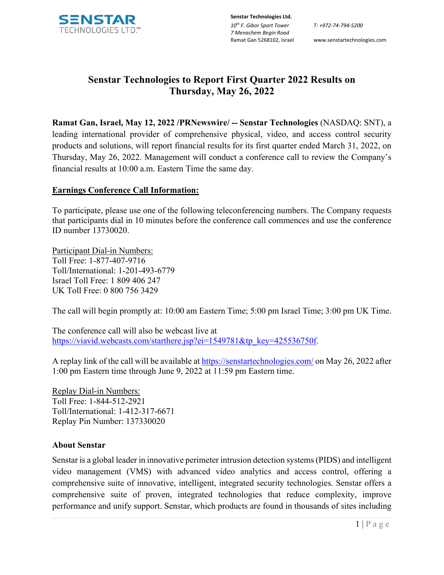

**Senstar Technologies Ltd.** *10th F. Gibor Sport Tower 7 Menachem Begin Road* 

Ramat Gan 5268102, Israel www.senstartechnologies.com

# **Senstar Technologies to Report First Quarter 2022 Results on Thursday, May 26, 2022**

**Ramat Gan, Israel, May 12, 2022 /PRNewswire/ -- Senstar Technologies** (NASDAQ: SNT), a leading international provider of comprehensive physical, video, and access control security products and solutions, will report financial results for its first quarter ended March 31, 2022, on Thursday, May 26, 2022. Management will conduct a conference call to review the Company's financial results at 10:00 a.m. Eastern Time the same day.

## **Earnings Conference Call Information:**

To participate, please use one of the following teleconferencing numbers. The Company requests that participants dial in 10 minutes before the conference call commences and use the conference ID number 13730020.

Participant Dial-in Numbers: Toll Free: 1-877-407-9716 Toll/International: 1-201-493-6779 Israel Toll Free: 1 809 406 247 UK Toll Free: 0 800 756 3429

The call will begin promptly at: 10:00 am Eastern Time; 5:00 pm Israel Time; 3:00 pm UK Time.

The conference call will also be webcast live at [https://viavid.webcasts.com/starthere.jsp?ei=1549781&tp\\_key=425536750f.](https://viavid.webcasts.com/starthere.jsp?ei=1549781&tp_key=425536750f)

A replay link of the call will be available at [https://senstartechnologies.com/](about:blank) on May 26, 2022 after 1:00 pm Eastern time through June 9, 2022 at 11:59 pm Eastern time.

Replay Dial-in Numbers: Toll Free: 1-844-512-2921 Toll/International: 1-412-317-6671 Replay Pin Number: 137330020

### **About Senstar**

Senstar is a global leader in innovative perimeter intrusion detection systems (PIDS) and intelligent video management (VMS) with advanced video analytics and access control, offering a comprehensive suite of innovative, intelligent, integrated security technologies. Senstar offers a comprehensive suite of proven, integrated technologies that reduce complexity, improve performance and unify support. Senstar, which products are found in thousands of sites including